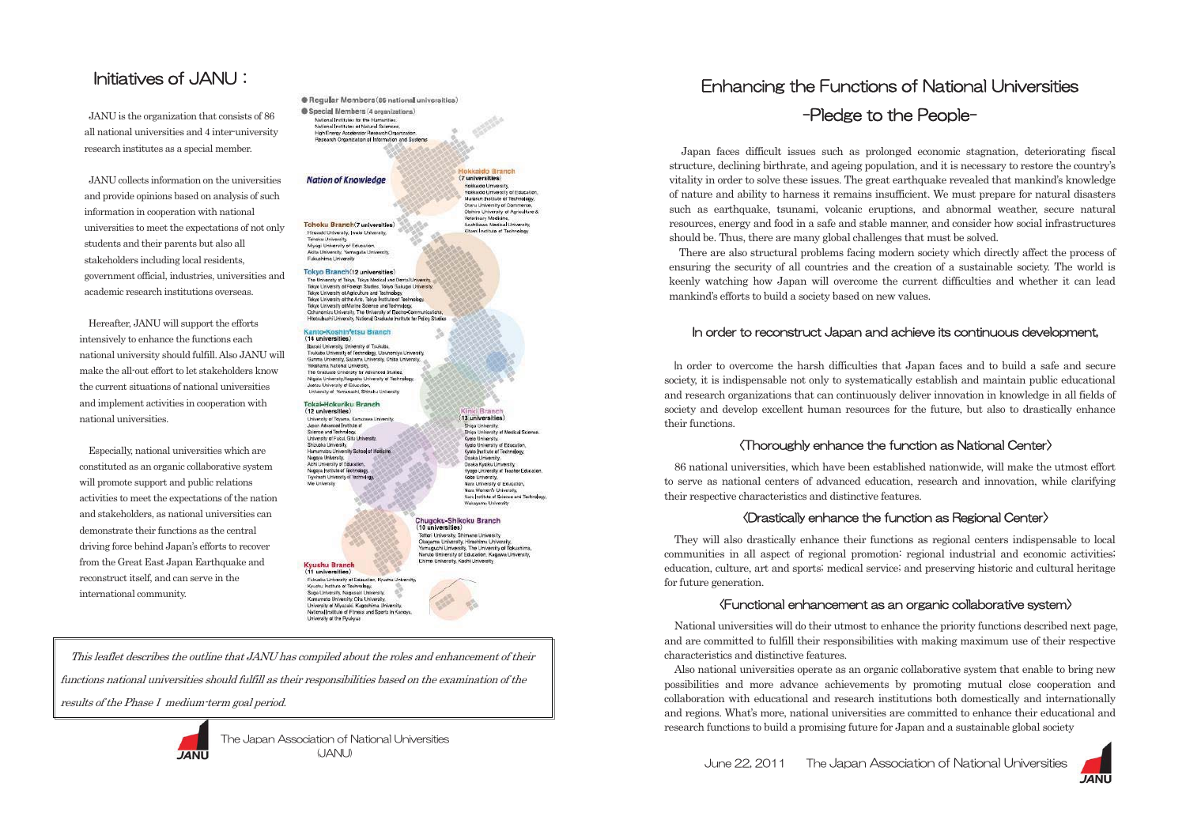Japan faces difficult issues such as prolonged economic stagnation, deteriorating fiscal structure, declining birthrate, and ageing population, and it is necessary to restore the country's vitality in order to solve these issues. The great earthquake revealed that mankind's knowledge of nature and ability to harness it remains insufficient. We must prepare for natural disasters such as earthquake, tsunami, volcanic eruptions, and abnormal weather, secure natural resources, energy and food in a safe and stable manner, and consider how social infrastructures should be. Thus, there are many global challenges that must be solved.

There are also structural problems facing modern society which directly affect the process of ensuring the security of all countries and the creation of a sustainable society. The world is keenly watching how Japan will overcome the current difficulties and whether it can lead mankind's efforts to build a society based on new values.

### In order to reconstruct Japan and achieve its continuous development,

 +n order to overcome the harsh difficulties that Japan faces and to build a safe and secure society, it is indispensable not only to systematically establish and maintain public educational and research organizations that can continuously deliver innovation in knowledge in all fields of society and develop excellent human resources for the future, but also to drastically enhance



their functions.

### $\langle$ Thoroughly enhance the function as National Center $\rangle$

86 national universities, which have been established nationwide, will make the utmost effort to serve as national centers of advanced education, research and innovation, while clarifying their respective characteristics and distinctive features.

### $\langle$ Drastically enhance the function as Regional Center $\rangle$

They will also drastically enhance their functions as regional centers indispensable to local communities in all aspect of regional promotion: regional industrial and economic activities; education, culture, art and sports; medical service; and preserving historic and cultural heritage for future generation.

### $\langle$ Functional enhancement as an organic collaborative system $\rangle$

This leaflet describes the outline that JANU has compiled about the roles and enhancement of their functions national universities should fulfill as their responsibilities based on the examination of the results of the Phase I medium-term goal period.



The Japan Association of National Universities (  $(JANU)$ 

June 22, 2011 The Japan Association of National Universities

## Enhancing the Functions of National Universities -Pledge to the People-

National universities will do their utmost to enhance the priority functions described next page, and are committed to fulfill their responsibilities with making maximum use of their respective characteristics and distinctive features.

Also national universities operate as an organic collaborative system that enable to bring new possibilities and more advance achievements by promoting mutual close cooperation and collaboration with educational and research institutions both domestically and internationally and regions. What's more, national universities are committed to enhance their educational and research functions to build a promising future for Japan and a sustainable global society

## Initiatives of JANU :  $\overline{\phantom{a}}$

JANU is the organization that consists of 86 all national universities and 4 inter-university research institutes as a special member.

JANU collects information on the universities and provide opinions based on analysis of such information in cooperation with national universities to meet the expectations of not only students and their parents but also all stakeholders including local residents, government official, industries, universities and academic research institutions overseas.

Hereafter, JANU will support the efforts intensively to enhance the functions each national university should fulfill. Also JANU will make the all-out effort to let stakeholders know the current situations of national universities and implement activities in cooperation with national universities.

Especially, national universities which are constituted as an organic collaborative system will promote support and public relations activities to meet the expectations of the nation and stakeholders, as national universities can demonstrate their functions as the central driving force behind Japan's efforts to recover from the Great East Japan Earthquake and reconstruct itself, and can serve in the international community.

Requilar Members (86 national universities) Special Members (4 organizations) .<br>National Institutes for the Humanities.<br>National Institutes of Natural Sciences.

Han Freroy Accelerator Research Organizati Croanization of Information and Systems

### **Nation of Knowledge**

Tohoku Branch(7 universities) Hirosaki University, Iwate University, Tonoku University Miyagi University of Education Akita University, Yamagata University, Fukushima University

### Tokyo Branch(12 universities)

The University of Tokyo, Tokyo Medical and Dental L Tokyo University of Foreign Studies, Tokyo Gakupei University Takyo University of Agriculture and Technology,<br>Takyo University of the Arts, Takyo Institute of Technology,<br>Takyo University of Marine Science and Technology, Ochanomizu University, The University of Electro-Co. techeshi University, National Graduate Institute for Policy Studie

Kanto-Koshin<sup>t</sup>etsu Branch (14 universities) .<br>Ibaraki University, University of Tsukuba.<br>Tsukuba University of Technology, Utsunomiya University Gurma University, Saltama University, Chiba University Yekehama National University,<br>The Graduate University for Advanced Studies,

Nigata University/Nagaoka University of Technolog **Ingto: University of Education** iversity of Yam ushi, Shinshu U

#### Tokai-Hokuriku Branch (12 universities)

.<br>University of Toyama, Kanazawa University<br>Japan Advanced Institute of Science and Technology. University of Fukui, Gifu University<br>Shizuoka University, Hamamatou University School of Medicine. **Mannes University** negeye omnereny.<br>Aichi University of Education,<br>Nagoya Institute of Technology, Toyohashi Liniversity of Technology

Shiga University Shiga University of Medical Science Kyele University<br>Kyele University<br>Kyele Institute of Technology, Osaka University,<br>Osaka Kyoiku University, Hyogo University of Teacher Education Kobe Liniversity. Nara University of Education<br>Nara Women's University,

Tottori University, Shimane University Okawama University, Hiroshima Univ maguchi University, The University of Toky Naruto University of Education, Kagawa University,

#### **Kyushu Branch** (11 universities)

Fukuaka University of Education, Kyushu Universi Kyushu Institute of Technology. .<br>Saga University, Nagasaki University<br>Kumamoto University, Olta University University of Miyazaki, Kagoshima University National Institute of Fitness and Sports in Kand

Ehime University, Kachi University

# Chugoku-Shikoku Branch<br>(10 universities)

Nara Institute of Science and Technology

(13 universities)

okkaido Branch

Kitami Institute of Technology

 $(7$  universities) Hakkeida Liniversity. Hokkaide University of Education Muraran Institute of Technology Charu University of Commerce Obihiro University of Agriculture & Veterinary Medicine,<br>Asahikawa Medical University,